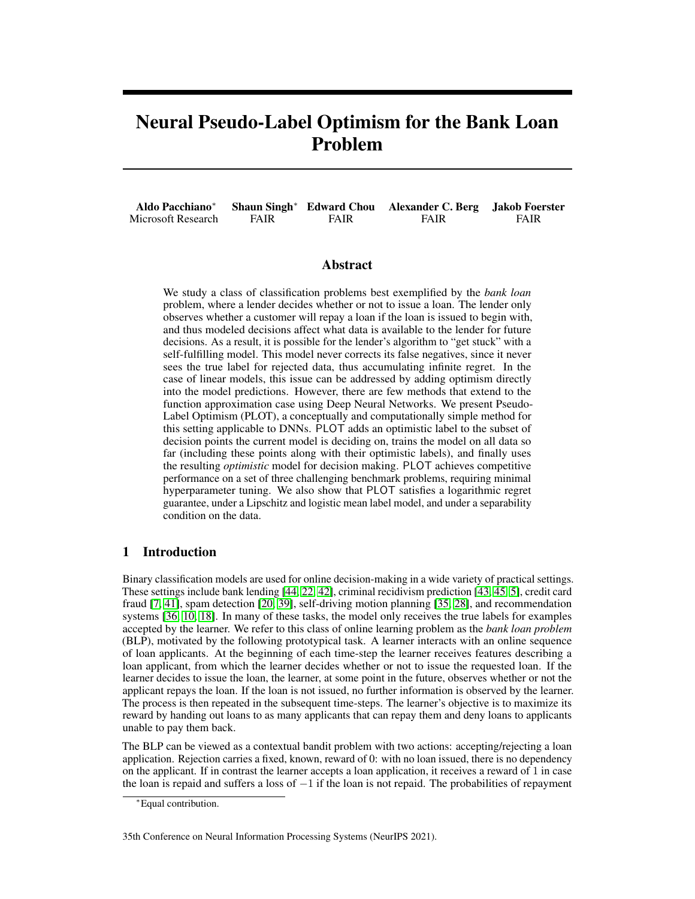# <span id="page-0-1"></span>Neural Pseudo-Label Optimism for the Bank Loan Problem

|                    |      |      | Aldo Pacchiano* Shaun Singh* Edward Chou Alexander C. Berg Jakob Foerster |             |
|--------------------|------|------|---------------------------------------------------------------------------|-------------|
| Microsoft Research | FAIR | FAIR | <b>FAIR</b>                                                               | <b>FAIR</b> |

#### Abstract

We study a class of classification problems best exemplified by the *bank loan* problem, where a lender decides whether or not to issue a loan. The lender only observes whether a customer will repay a loan if the loan is issued to begin with, and thus modeled decisions affect what data is available to the lender for future decisions. As a result, it is possible for the lender's algorithm to "get stuck" with a self-fulfilling model. This model never corrects its false negatives, since it never sees the true label for rejected data, thus accumulating infinite regret. In the case of linear models, this issue can be addressed by adding optimism directly into the model predictions. However, there are few methods that extend to the function approximation case using Deep Neural Networks. We present Pseudo-Label Optimism (PLOT), a conceptually and computationally simple method for this setting applicable to DNNs. PLOT adds an optimistic label to the subset of decision points the current model is deciding on, trains the model on all data so far (including these points along with their optimistic labels), and finally uses the resulting *optimistic* model for decision making. PLOT achieves competitive performance on a set of three challenging benchmark problems, requiring minimal hyperparameter tuning. We also show that PLOT satisfies a logarithmic regret guarantee, under a Lipschitz and logistic mean label model, and under a separability condition on the data.

## <span id="page-0-0"></span>1 Introduction

Binary classification models are used for online decision-making in a wide variety of practical settings. These settings include bank lending [\[44,](#page-12-0) [22,](#page-11-0) [42\]](#page-11-1), criminal recidivism prediction [\[43,](#page-12-1) [45,](#page-12-2) [5\]](#page-10-0), credit card fraud [\[7,](#page-10-1) [41\]](#page-11-2), spam detection [\[20,](#page-10-2) [39\]](#page-11-3), self-driving motion planning [\[35,](#page-11-4) [28\]](#page-11-5), and recommendation systems [\[36,](#page-11-6) [10,](#page-10-3) [18\]](#page-10-4). In many of these tasks, the model only receives the true labels for examples accepted by the learner. We refer to this class of online learning problem as the *bank loan problem* (BLP), motivated by the following prototypical task. A learner interacts with an online sequence of loan applicants. At the beginning of each time-step the learner receives features describing a loan applicant, from which the learner decides whether or not to issue the requested loan. If the learner decides to issue the loan, the learner, at some point in the future, observes whether or not the applicant repays the loan. If the loan is not issued, no further information is observed by the learner. The process is then repeated in the subsequent time-steps. The learner's objective is to maximize its reward by handing out loans to as many applicants that can repay them and deny loans to applicants unable to pay them back.

The BLP can be viewed as a contextual bandit problem with two actions: accepting/rejecting a loan application. Rejection carries a fixed, known, reward of 0: with no loan issued, there is no dependency on the applicant. If in contrast the learner accepts a loan application, it receives a reward of 1 in case the loan is repaid and suffers a loss of  $-1$  if the loan is not repaid. The probabilities of repayment

35th Conference on Neural Information Processing Systems (NeurIPS 2021).

<sup>∗</sup>Equal contribution.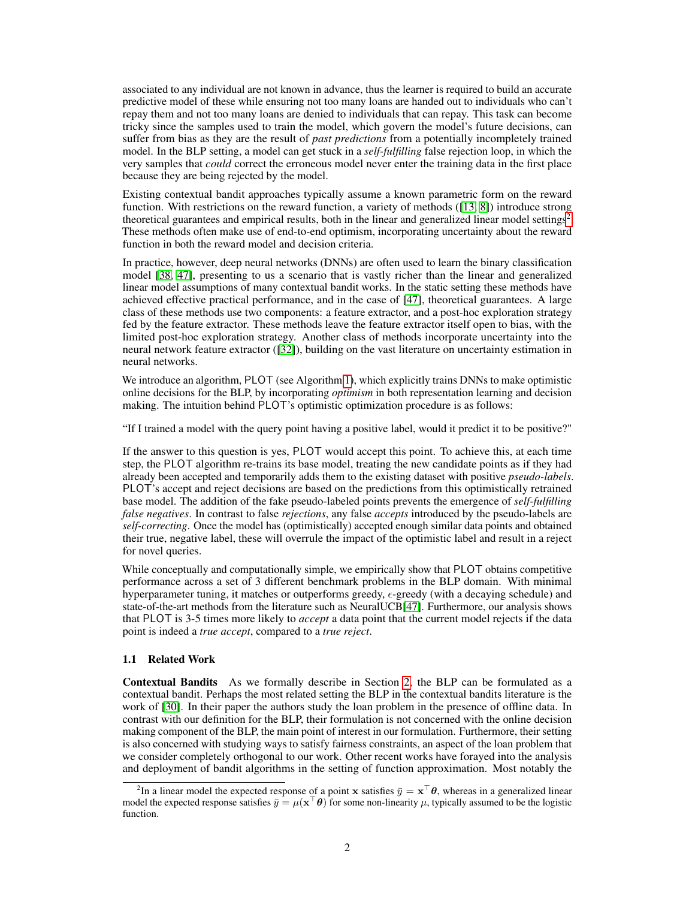associated to any individual are not known in advance, thus the learner is required to build an accurate predictive model of these while ensuring not too many loans are handed out to individuals who can't repay them and not too many loans are denied to individuals that can repay. This task can become tricky since the samples used to train the model, which govern the model's future decisions, can suffer from bias as they are the result of *past predictions* from a potentially incompletely trained model. In the BLP setting, a model can get stuck in a *self-fulfilling* false rejection loop, in which the very samples that *could* correct the erroneous model never enter the training data in the first place because they are being rejected by the model.

Existing contextual bandit approaches typically assume a known parametric form on the reward function. With restrictions on the reward function, a variety of methods ([\[13,](#page-10-5) [8\]](#page-10-6)) introduce strong theoretical guarantees and empirical results, both in the linear and generalized linear model settings<sup>[2](#page-1-0)</sup>. These methods often make use of end-to-end optimism, incorporating uncertainty about the reward function in both the reward model and decision criteria.

In practice, however, deep neural networks (DNNs) are often used to learn the binary classification model [\[38,](#page-11-7) [47\]](#page-12-3), presenting to us a scenario that is vastly richer than the linear and generalized linear model assumptions of many contextual bandit works. In the static setting these methods have achieved effective practical performance, and in the case of [\[47\]](#page-12-3), theoretical guarantees. A large class of these methods use two components: a feature extractor, and a post-hoc exploration strategy fed by the feature extractor. These methods leave the feature extractor itself open to bias, with the limited post-hoc exploration strategy. Another class of methods incorporate uncertainty into the neural network feature extractor ([\[32\]](#page-11-8)), building on the vast literature on uncertainty estimation in neural networks.

We introduce an algorithm, PLOT (see Algorithm [1\)](#page-5-0), which explicitly trains DNNs to make optimistic online decisions for the BLP, by incorporating *optimism* in both representation learning and decision making. The intuition behind PLOT's optimistic optimization procedure is as follows:

"If I trained a model with the query point having a positive label, would it predict it to be positive?"

If the answer to this question is yes, PLOT would accept this point. To achieve this, at each time step, the PLOT algorithm re-trains its base model, treating the new candidate points as if they had already been accepted and temporarily adds them to the existing dataset with positive *pseudo-labels*. PLOT's accept and reject decisions are based on the predictions from this optimistically retrained base model. The addition of the fake pseudo-labeled points prevents the emergence of *self-fulfilling false negatives*. In contrast to false *rejections*, any false *accepts* introduced by the pseudo-labels are *self-correcting*. Once the model has (optimistically) accepted enough similar data points and obtained their true, negative label, these will overrule the impact of the optimistic label and result in a reject for novel queries.

While conceptually and computationally simple, we empirically show that PLOT obtains competitive performance across a set of 3 different benchmark problems in the BLP domain. With minimal hyperparameter tuning, it matches or outperforms greedy,  $\epsilon$ -greedy (with a decaying schedule) and state-of-the-art methods from the literature such as NeuralUCB[\[47\]](#page-12-3). Furthermore, our analysis shows that PLOT is 3-5 times more likely to *accept* a data point that the current model rejects if the data point is indeed a *true accept*, compared to a *true reject*.

#### 1.1 Related Work

Contextual Bandits As we formally describe in Section [2,](#page-2-0) the BLP can be formulated as a contextual bandit. Perhaps the most related setting the BLP in the contextual bandits literature is the work of [\[30\]](#page-11-9). In their paper the authors study the loan problem in the presence of offline data. In contrast with our definition for the BLP, their formulation is not concerned with the online decision making component of the BLP, the main point of interest in our formulation. Furthermore, their setting is also concerned with studying ways to satisfy fairness constraints, an aspect of the loan problem that we consider completely orthogonal to our work. Other recent works have forayed into the analysis and deployment of bandit algorithms in the setting of function approximation. Most notably the

<span id="page-1-0"></span><sup>&</sup>lt;sup>2</sup>In a linear model the expected response of a point x satisfies  $\bar{y} = x^{\top} \theta$ , whereas in a generalized linear model the expected response satisfies  $\bar{y} = \mu(x^\top \theta)$  for some non-linearity  $\mu$ , typically assumed to be the logistic function.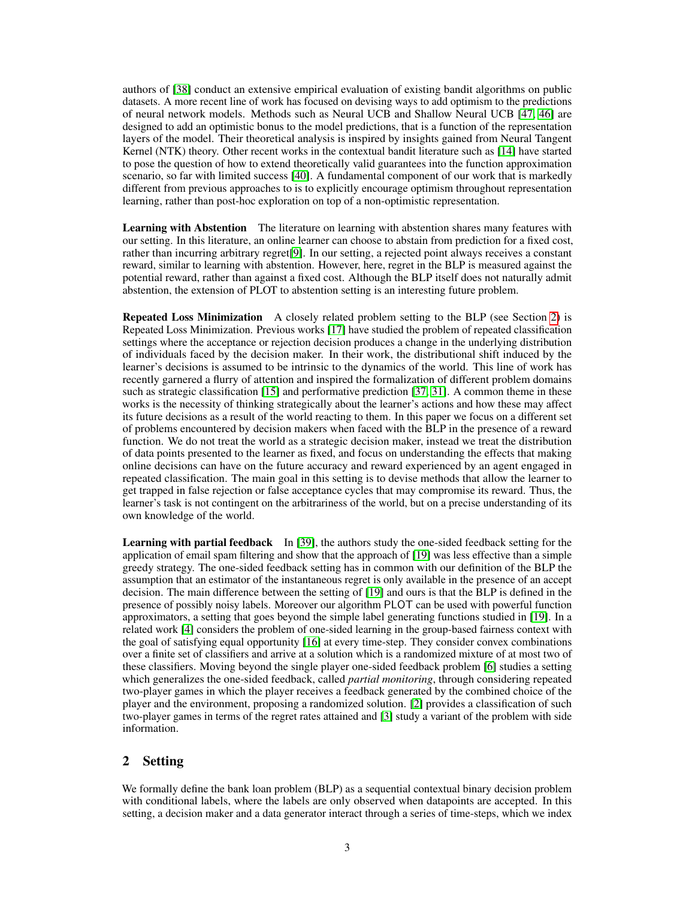authors of [\[38\]](#page-11-7) conduct an extensive empirical evaluation of existing bandit algorithms on public datasets. A more recent line of work has focused on devising ways to add optimism to the predictions of neural network models. Methods such as Neural UCB and Shallow Neural UCB [\[47,](#page-12-3) [46\]](#page-12-4) are designed to add an optimistic bonus to the model predictions, that is a function of the representation layers of the model. Their theoretical analysis is inspired by insights gained from Neural Tangent Kernel (NTK) theory. Other recent works in the contextual bandit literature such as [\[14\]](#page-10-7) have started to pose the question of how to extend theoretically valid guarantees into the function approximation scenario, so far with limited success [\[40\]](#page-11-10). A fundamental component of our work that is markedly different from previous approaches to is to explicitly encourage optimism throughout representation learning, rather than post-hoc exploration on top of a non-optimistic representation.

Learning with Abstention The literature on learning with abstention shares many features with our setting. In this literature, an online learner can choose to abstain from prediction for a fixed cost, rather than incurring arbitrary regret[\[9\]](#page-10-8). In our setting, a rejected point always receives a constant reward, similar to learning with abstention. However, here, regret in the BLP is measured against the potential reward, rather than against a fixed cost. Although the BLP itself does not naturally admit abstention, the extension of PLOT to abstention setting is an interesting future problem.

Repeated Loss Minimization A closely related problem setting to the BLP (see Section [2\)](#page-2-0) is Repeated Loss Minimization. Previous works [\[17\]](#page-10-9) have studied the problem of repeated classification settings where the acceptance or rejection decision produces a change in the underlying distribution of individuals faced by the decision maker. In their work, the distributional shift induced by the learner's decisions is assumed to be intrinsic to the dynamics of the world. This line of work has recently garnered a flurry of attention and inspired the formalization of different problem domains such as strategic classification [\[15\]](#page-10-10) and performative prediction [\[37,](#page-11-11) [31\]](#page-11-12). A common theme in these works is the necessity of thinking strategically about the learner's actions and how these may affect its future decisions as a result of the world reacting to them. In this paper we focus on a different set of problems encountered by decision makers when faced with the BLP in the presence of a reward function. We do not treat the world as a strategic decision maker, instead we treat the distribution of data points presented to the learner as fixed, and focus on understanding the effects that making online decisions can have on the future accuracy and reward experienced by an agent engaged in repeated classification. The main goal in this setting is to devise methods that allow the learner to get trapped in false rejection or false acceptance cycles that may compromise its reward. Thus, the learner's task is not contingent on the arbitrariness of the world, but on a precise understanding of its own knowledge of the world.

Learning with partial feedback In [\[39\]](#page-11-3), the authors study the one-sided feedback setting for the application of email spam filtering and show that the approach of [\[19\]](#page-10-11) was less effective than a simple greedy strategy. The one-sided feedback setting has in common with our definition of the BLP the assumption that an estimator of the instantaneous regret is only available in the presence of an accept decision. The main difference between the setting of [\[19\]](#page-10-11) and ours is that the BLP is defined in the presence of possibly noisy labels. Moreover our algorithm PLOT can be used with powerful function approximators, a setting that goes beyond the simple label generating functions studied in [\[19\]](#page-10-11). In a related work [\[4\]](#page-10-12) considers the problem of one-sided learning in the group-based fairness context with the goal of satisfying equal opportunity [\[16\]](#page-10-13) at every time-step. They consider convex combinations over a finite set of classifiers and arrive at a solution which is a randomized mixture of at most two of these classifiers. Moving beyond the single player one-sided feedback problem [\[6\]](#page-10-14) studies a setting which generalizes the one-sided feedback, called *partial monitoring*, through considering repeated two-player games in which the player receives a feedback generated by the combined choice of the player and the environment, proposing a randomized solution. [\[2\]](#page-10-15) provides a classification of such two-player games in terms of the regret rates attained and [\[3\]](#page-10-16) study a variant of the problem with side information.

# <span id="page-2-0"></span>2 Setting

We formally define the bank loan problem (BLP) as a sequential contextual binary decision problem with conditional labels, where the labels are only observed when datapoints are accepted. In this setting, a decision maker and a data generator interact through a series of time-steps, which we index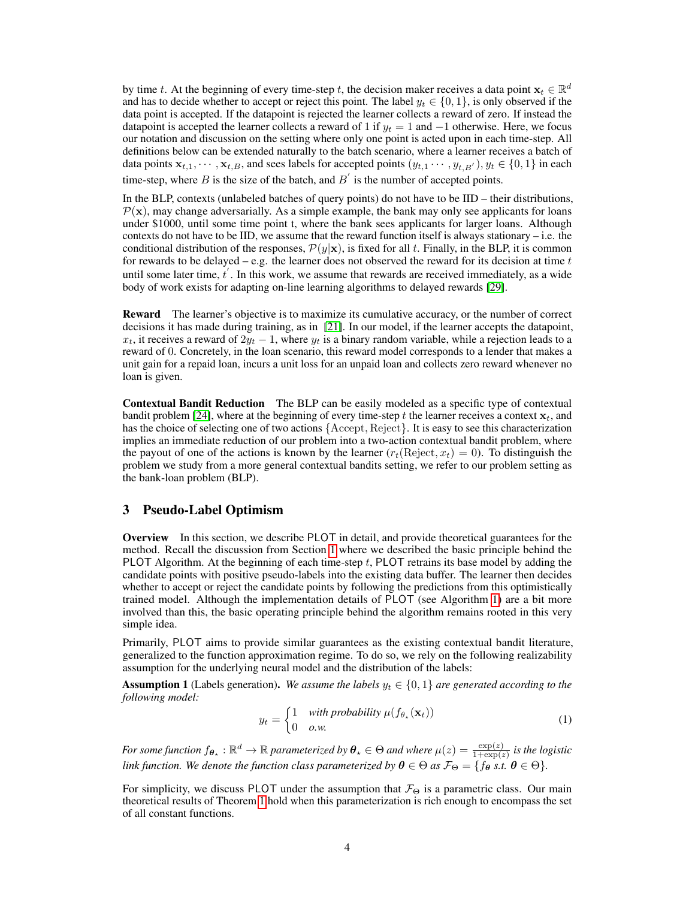by time t. At the beginning of every time-step t, the decision maker receives a data point  $x_t \in \mathbb{R}^d$ and has to decide whether to accept or reject this point. The label  $y_t \in \{0, 1\}$ , is only observed if the data point is accepted. If the datapoint is rejected the learner collects a reward of zero. If instead the datapoint is accepted the learner collects a reward of 1 if  $y_t = 1$  and  $-1$  otherwise. Here, we focus our notation and discussion on the setting where only one point is acted upon in each time-step. All definitions below can be extended naturally to the batch scenario, where a learner receives a batch of data points  $x_{t,1}, \dots, x_{t,B}$ , and sees labels for accepted points  $(y_{t,1}, \dots, y_{t,B'})$ ,  $y_t \in \{0,1\}$  in each time-step, where B is the size of the batch, and  $B'$  is the number of accepted points.

In the BLP, contexts (unlabeled batches of query points) do not have to be IID – their distributions,  $P(x)$ , may change adversarially. As a simple example, the bank may only see applicants for loans under \$1000, until some time point t, where the bank sees applicants for larger loans. Although contexts do not have to be IID, we assume that the reward function itself is always stationary – i.e. the conditional distribution of the responses,  $\mathcal{P}(y|\mathbf{x})$ , is fixed for all t. Finally, in the BLP, it is common for rewards to be delayed – e.g. the learner does not observed the reward for its decision at time  $t$ until some later time,  $t'$ . In this work, we assume that rewards are received immediately, as a wide body of work exists for adapting on-line learning algorithms to delayed rewards [\[29\]](#page-11-13).

Reward The learner's objective is to maximize its cumulative accuracy, or the number of correct decisions it has made during training, as in [\[21\]](#page-10-17). In our model, if the learner accepts the datapoint,  $x_t$ , it receives a reward of  $2y_t - 1$ , where  $y_t$  is a binary random variable, while a rejection leads to a reward of 0. Concretely, in the loan scenario, this reward model corresponds to a lender that makes a unit gain for a repaid loan, incurs a unit loss for an unpaid loan and collects zero reward whenever no loan is given.

Contextual Bandit Reduction The BLP can be easily modeled as a specific type of contextual bandit problem [\[24\]](#page-11-14), where at the beginning of every time-step t the learner receives a context  $x_t$ , and has the choice of selecting one of two actions {Accept, Reject}. It is easy to see this characterization implies an immediate reduction of our problem into a two-action contextual bandit problem, where the payout of one of the actions is known by the learner  $(r_t(Reject, x_t) = 0)$ . To distinguish the problem we study from a more general contextual bandits setting, we refer to our problem setting as the bank-loan problem (BLP).

## <span id="page-3-1"></span>3 Pseudo-Label Optimism

Overview In this section, we describe PLOT in detail, and provide theoretical guarantees for the method. Recall the discussion from Section [1](#page-0-0) where we described the basic principle behind the PLOT Algorithm. At the beginning of each time-step  $t$ , PLOT retrains its base model by adding the candidate points with positive pseudo-labels into the existing data buffer. The learner then decides whether to accept or reject the candidate points by following the predictions from this optimistically trained model. Although the implementation details of PLOT (see Algorithm [1\)](#page-5-0) are a bit more involved than this, the basic operating principle behind the algorithm remains rooted in this very simple idea.

Primarily, PLOT aims to provide similar guarantees as the existing contextual bandit literature, generalized to the function approximation regime. To do so, we rely on the following realizability assumption for the underlying neural model and the distribution of the labels:

<span id="page-3-0"></span>**Assumption 1** (Labels generation). *We assume the labels*  $y_t \in \{0, 1\}$  *are generated according to the following model:*

$$
y_t = \begin{cases} 1 & \text{with probability } \mu(f_{\theta_\star}(\mathbf{x}_t)) \\ 0 & \text{o.w.} \end{cases}
$$
 (1)

*For some function*  $f_{\theta_*} : \mathbb{R}^d \to \mathbb{R}$  *parameterized by*  $\theta_* \in \Theta$  *and where*  $\mu(z) = \frac{\exp(z)}{1+\exp(z)}$  *is the logistic link function. We denote the function class parameterized by*  $\theta \in \Theta$  *as \mathcal{F}\_\Theta = \{f\_{\bm{\theta}}\ s.t.* $$\bm{\theta} \in \Theta\}.$$ 

For simplicity, we discuss PLOT under the assumption that  $\mathcal{F}_{\Theta}$  is a parametric class. Our main theoretical results of Theorem [1](#page-6-0) hold when this parameterization is rich enough to encompass the set of all constant functions.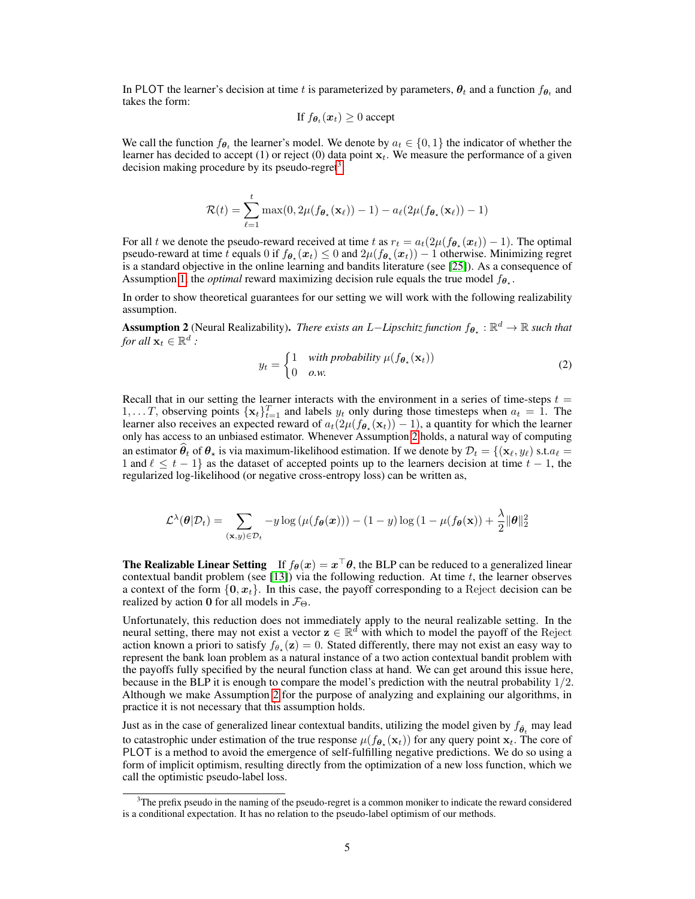In PLOT the learner's decision at time t is parameterized by parameters,  $\theta_t$  and a function  $f_{\theta_t}$  and takes the form:

If 
$$
f_{\theta_t}(x_t) \geq 0
$$
 accept

We call the function  $f_{\theta_t}$  the learner's model. We denote by  $a_t \in \{0, 1\}$  the indicator of whether the learner has decided to accept (1) or reject (0) data point  $x_t$ . We measure the performance of a given decision making procedure by its pseudo-regret<sup>[3](#page-4-0)</sup>:

$$
\mathcal{R}(t) = \sum_{\ell=1}^t \max(0, 2\mu(f_{\boldsymbol{\theta}_\star}(\mathbf{x}_\ell)) - 1) - a_\ell(2\mu(f_{\boldsymbol{\theta}_\star}(\mathbf{x}_\ell)) - 1)
$$

For all t we denote the pseudo-reward received at time t as  $r_t = a_t(2\mu(f_{\theta_*}(x_t)) - 1)$ . The optimal pseudo-reward at time t equals  $0$  if  $f_{\theta_\star}(x_t) \leq 0$  and  $2\mu(f_{\theta_\star}(x_t)) - 1$  otherwise. Minimizing regret is a standard objective in the online learning and bandits literature (see [\[25\]](#page-11-15)). As a consequence of Assumption [1,](#page-3-0) the *optimal* reward maximizing decision rule equals the true model  $f_{\theta_{\star}}$ .

In order to show theoretical guarantees for our setting we will work with the following realizability assumption.

<span id="page-4-1"></span>**Assumption 2** (Neural Realizability). *There exists an L–Lipschitz function*  $f_{\theta_*} : \mathbb{R}^d \to \mathbb{R}$  such that *for all*  $\mathbf{x}_t \in \mathbb{R}^d$  :

$$
y_t = \begin{cases} 1 & \text{with probability } \mu(f_{\theta_\star}(\mathbf{x}_t)) \\ 0 & \text{o.w.} \end{cases}
$$
 (2)

Recall that in our setting the learner interacts with the environment in a series of time-steps  $t =$  $1, \ldots T$ , observing points  $\{x_t\}_{t=1}^T$  and labels  $y_t$  only during those timesteps when  $a_t = 1$ . The learner also receives an expected reward of  $a_t(2\mu(f_{\theta_\star}(\mathbf{x}_t)) - 1)$ , a quantity for which the learner only has access to an unbiased estimator. Whenever Assumption [2](#page-4-1) holds, a natural way of computing an estimator  $\theta_t$  of  $\theta_\star$  is via maximum-likelihood estimation. If we denote by  $\mathcal{D}_t = \{(\mathbf{x}_\ell, y_\ell) \text{ s.t.} a_\ell =$ 1 and  $\ell \leq t - 1$  as the dataset of accepted points up to the learners decision at time  $t - 1$ , the regularized log-likelihood (or negative cross-entropy loss) can be written as,

$$
\mathcal{L}^{\lambda}(\theta|\mathcal{D}_t) = \sum_{(\mathbf{x},y)\in\mathcal{D}_t} -y \log \left(\mu(f_{\theta}(\mathbf{x}))\right) - (1-y) \log (1 - \mu(f_{\theta}(\mathbf{x})) + \frac{\lambda}{2} \|\theta\|_2^2
$$

**The Realizable Linear Setting** If  $f_{\theta}(x) = x^{\top} \theta$ , the BLP can be reduced to a generalized linear contextual bandit problem (see [\[13\]](#page-10-5)) via the following reduction. At time  $t$ , the learner observes a context of the form  $\{0, x_t\}$ . In this case, the payoff corresponding to a Reject decision can be realized by action 0 for all models in  $\mathcal{F}_{\Theta}$ .

Unfortunately, this reduction does not immediately apply to the neural realizable setting. In the neural setting, there may not exist a vector  $z \in \mathbb{R}^d$  with which to model the payoff of the Reject action known a priori to satisfy  $f_{\theta_{\star}}(\mathbf{z}) = 0$ . Stated differently, there may not exist an easy way to represent the bank loan problem as a natural instance of a two action contextual bandit problem with the payoffs fully specified by the neural function class at hand. We can get around this issue here, because in the BLP it is enough to compare the model's prediction with the neutral probability 1/2. Although we make Assumption [2](#page-4-1) for the purpose of analyzing and explaining our algorithms, in practice it is not necessary that this assumption holds.

Just as in the case of generalized linear contextual bandits, utilizing the model given by  $f_{\hat{\theta}_t}$  may lead to catastrophic under estimation of the true response  $\mu(f_{\theta_{\star}}(\mathbf{x}_t))$  for any query point  $\mathbf{x}_t$ . The core of PLOT is a method to avoid the emergence of self-fulfilling negative predictions. We do so using a form of implicit optimism, resulting directly from the optimization of a new loss function, which we call the optimistic pseudo-label loss.

<span id="page-4-0"></span><sup>&</sup>lt;sup>3</sup>The prefix pseudo in the naming of the pseudo-regret is a common moniker to indicate the reward considered is a conditional expectation. It has no relation to the pseudo-label optimism of our methods.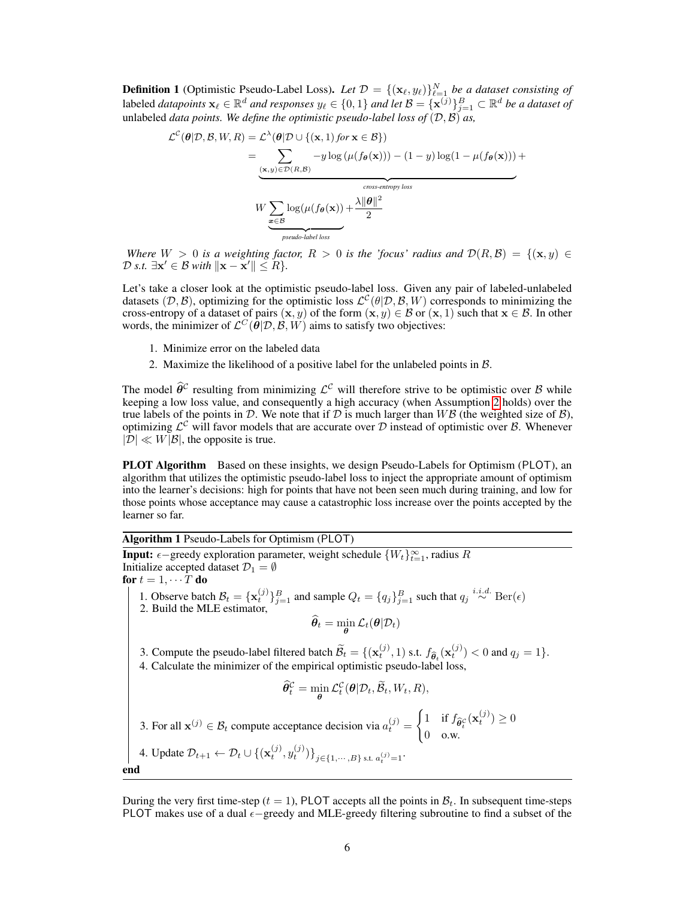**Definition 1** (Optimistic Pseudo-Label Loss). Let  $\mathcal{D} = \{(\mathbf{x}_{\ell}, y_{\ell})\}_{\ell=1}^{N}$  be a dataset consisting of labeled *datapoints*  $x_\ell \in \mathbb{R}^d$  *and responses*  $y_\ell \in \{0, 1\}$  *and let*  $\mathcal{B} = \{x^{(j)}\}_{j=1}^B \subset \mathbb{R}^d$  *be a dataset of* unlabeled *data points. We define the optimistic pseudo-label loss of*  $(D, \mathcal{B})$  *as,* 

$$
\mathcal{L}^{C}(\theta|\mathcal{D}, \mathcal{B}, W, R) = \mathcal{L}^{\lambda}(\theta|\mathcal{D} \cup \{(\mathbf{x}, 1) \text{ for } \mathbf{x} \in \mathcal{B}\})
$$
  
\n
$$
= \sum_{\substack{(\mathbf{x}, y) \in \mathcal{D}(R, \mathcal{B}) \\ W \geq \log(\mu(f_{\theta}(\mathbf{x})) + \frac{\text{cross-entropy loss}}{2} \\ \text{pseudo-label loss}}} -y \log(\mu(f_{\theta}(\mathbf{x}))) - (1 - y) \log(1 - \mu(f_{\theta}(\mathbf{x}))) + \frac{\text{cross-entropy loss}}{2}
$$

*Where*  $W > 0$  *is a weighting factor,*  $R > 0$  *is the 'focus' radius and*  $\mathcal{D}(R, \mathcal{B}) = \{(\mathbf{x}, y) \in$  $\mathcal{D}$  *s.t.*  $\exists \mathbf{x}' \in \mathcal{B}$  *with*  $\|\mathbf{x} - \mathbf{x}'\| \le R$ *}*.

Let's take a closer look at the optimistic pseudo-label loss. Given any pair of labeled-unlabeled datasets (D, B), optimizing for the optimistic loss  $\mathcal{L}^{\mathcal{C}}(\theta|\mathcal{D}, \mathcal{B}, W)$  corresponds to minimizing the cross-entropy of a dataset of pairs  $(x, y)$  of the form  $(x, y) \in \mathcal{B}$  or  $(x, 1)$  such that  $x \in \mathcal{B}$ . In other words, the minimizer of  $\mathcal{L}^C(\vec{\theta}|\mathcal{D}, \vec{\mathcal{B}}, W)$  aims to satisfy two objectives:

- 1. Minimize error on the labeled data
- 2. Maximize the likelihood of a positive label for the unlabeled points in B.

The model  $\hat{\theta}^c$  resulting from minimizing  $\mathcal{L}^c$  will therefore strive to be optimistic over B while keeping a low loss value, and consequently a high accuracy (when Assumption [2](#page-4-1) holds) over the true labels of the points in  $\mathcal D$ . We note that if  $\mathcal D$  is much larger than  $W\mathcal B$  (the weighted size of  $\mathcal B$ ), optimizing  $\mathcal{L}^{\mathcal{C}}$  will favor models that are accurate over  $\mathcal{D}$  instead of optimistic over  $\mathcal{B}$ . Whenever  $|\mathcal{D}| \ll W|\mathcal{B}|$ , the opposite is true.

PLOT Algorithm Based on these insights, we design Pseudo-Labels for Optimism (PLOT), an algorithm that utilizes the optimistic pseudo-label loss to inject the appropriate amount of optimism into the learner's decisions: high for points that have not been seen much during training, and low for those points whose acceptance may cause a catastrophic loss increase over the points accepted by the learner so far.

<span id="page-5-0"></span>Algorithm 1 Pseudo-Labels for Optimism (PLOT)

**Input:**  $\epsilon$  –greedy exploration parameter, weight schedule  $\{W_t\}_{t=1}^{\infty}$ , radius R Initialize accepted dataset  $\mathcal{D}_1 = \emptyset$ for  $t = 1, \cdots \overline{T}$  do 1. Observe batch  $\mathcal{B}_t = {\mathbf{x}_t^{(j)}}_{j=1}^B$  and sample  $Q_t = {q_j}_{j=1}^B$  such that  $q_j \stackrel{i.i.d.}{\sim} \text{Ber}(\epsilon)$ 2. Build the MLE estimator,  $\boldsymbol{\theta}_t = \min_{\boldsymbol{\theta}} \mathcal{L}_t(\boldsymbol{\theta} | \mathcal{D}_t)$ 3. Compute the pseudo-label filtered batch  $\widetilde{B}_t = \{(\mathbf{x}_t^{(j)}, 1) \text{ s.t. } f_{\widehat{\theta}_t}(\mathbf{x}_t^{(j)}) < 0 \text{ and } q_j = 1\}.$ 4. Calculate the minimizer of the empirical optimistic pseudo-label loss,  $\widehat{\boldsymbol{\theta}}_t^{\mathcal{C}} = \min_{\boldsymbol{\theta}} \mathcal{L}_t^{\mathcal{C}}(\boldsymbol{\theta} | \mathcal{D}_t, \widetilde{\mathcal{B}}_t, W_t, R),$ 3. For all  $\mathbf{x}^{(j)} \in \mathcal{B}_t$  compute acceptance decision via  $a_t^{(j)} =$  $\int 1$  if  $f_{\widehat{\theta}_t^{\mathcal{C}}}(\mathbf{x}_t^{(j)}) \geq 0$ 0 o.w. 4. Update  $\mathcal{D}_{t+1} \leftarrow \mathcal{D}_t \cup \{(\mathbf{x}_t^{(j)}, y_t^{(j)})\}_{j \in \{1, \cdots, B\} \text{ s.t. } a_t^{(j)} = 1}.$ end

During the very first time-step ( $t = 1$ ), PLOT accepts all the points in  $\mathcal{B}_t$ . In subsequent time-steps PLOT makes use of a dual  $\epsilon$ -greedy and MLE-greedy filtering subroutine to find a subset of the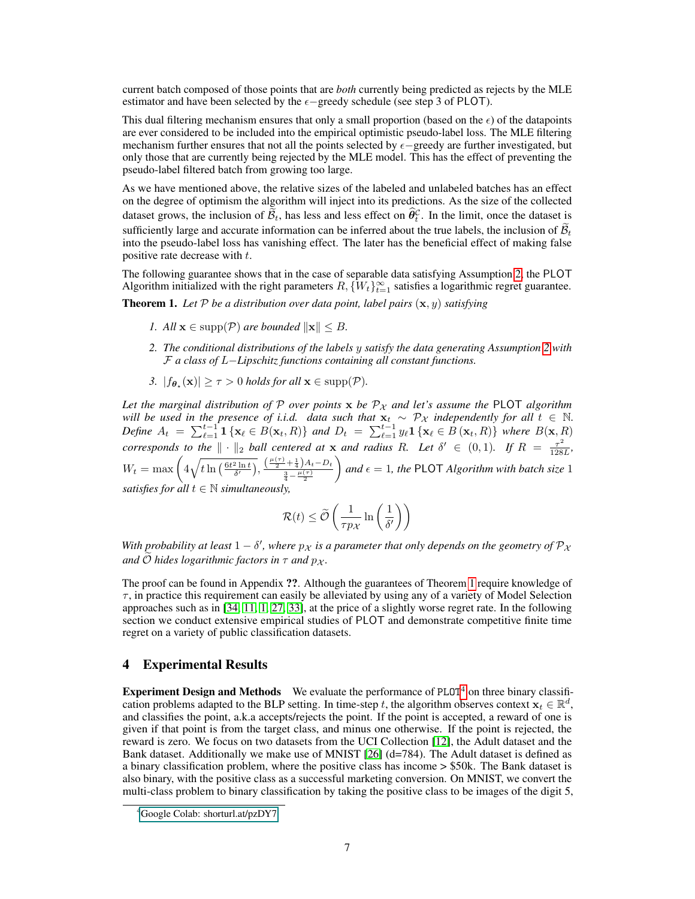current batch composed of those points that are *both* currently being predicted as rejects by the MLE estimator and have been selected by the  $\epsilon$ -greedy schedule (see step 3 of PLOT).

This dual filtering mechanism ensures that only a small proportion (based on the  $\epsilon$ ) of the datapoints are ever considered to be included into the empirical optimistic pseudo-label loss. The MLE filtering mechanism further ensures that not all the points selected by  $\epsilon$ -greedy are further investigated, but only those that are currently being rejected by the MLE model. This has the effect of preventing the pseudo-label filtered batch from growing too large.

As we have mentioned above, the relative sizes of the labeled and unlabeled batches has an effect on the degree of optimism the algorithm will inject into its predictions. As the size of the collected dataset grows, the inclusion of  $\tilde{\mathcal{B}}_t$ , has less and less effect on  $\hat{\theta}_t^{\mathcal{C}}$ . In the limit, once the dataset is sufficiently large and accurate information can be inferred about the true labels, the inclusion of  $\widetilde{\mathcal{B}}_t$ into the pseudo-label loss has vanishing effect. The later has the beneficial effect of making false positive rate decrease with t.

The following guarantee shows that in the case of separable data satisfying Assumption [2,](#page-4-1) the PLOT Algorithm initialized with the right parameters  $R, \{W_t\}_{t=1}^{\infty}$  satisfies a logarithmic regret guarantee.

<span id="page-6-0"></span>**Theorem 1.** Let  $P$  be a distribution over data point, label pairs  $(\mathbf{x}, y)$  satisfying

- *1. All*  $\mathbf{x} \in \text{supp}(\mathcal{P})$  *are bounded*  $\|\mathbf{x}\| \leq B$ *.*
- *2. The conditional distributions of the labels* y *satisfy the data generating Assumption [2](#page-4-1) with* F *a class of* L−*Lipschitz functions containing all constant functions.*
- *3.*  $|f_{\theta_{\star}}(\mathbf{x})| \ge \tau > 0$  *holds for all*  $\mathbf{x} \in \text{supp}(\mathcal{P})$ *.*

*Let the marginal distribution of* P *over points* x *be*  $P_X$  *and let's assume the* PLOT *algorithm will be used in the presence of i.i.d. data such that*  $\mathbf{x}_t \sim \mathcal{P}_\mathcal{X}$  *independently for all*  $t \in \mathbb{N}$ . *Define*  $A_t = \sum_{\ell=1}^{t-1} 1\{x_\ell \in B(x_t, R)\}\$  *and*  $D_t = \sum_{\ell=1}^{t-1} y_\ell 1\{x_\ell \in B(x_t, R)\}\$  *where*  $B(x, R)$ *corresponds to the*  $\|\cdot\|_2$  *ball centered at* x *and radius* R. Let  $\delta' \in (0,1)$ . If  $R = \frac{\tau^2}{128}$  $\frac{\tau^2}{128L}$  $W_t = \max\left(4\sqrt{t\ln\left(\frac{6t^2\ln t}{\delta'}\right)}, \frac{\left(\frac{\mu(\tau)}{2} + \frac{1}{4}\right)A_t - D_t}{\frac{3}{4} - \frac{\mu(\tau)}{2}}\right)$ *and*  $\epsilon = 1$ *, the* PLOT *Algorithm with batch size* 1 *satisfies for all*  $t \in \mathbb{N}$  *simultaneously,* 

$$
\mathcal{R}(t) \le \widetilde{\mathcal{O}}\left(\frac{1}{\tau p_{\mathcal{X}}}\ln\left(\frac{1}{\delta'}\right)\right)
$$

*With probability at least*  $1 - \delta'$ , where  $p_{\chi}$  *is a parameter that only depends on the geometry of*  $\mathcal{P}_{\chi}$ *and*  $O$  *hides logarithmic factors in*  $\tau$  *and*  $p_{\chi}$ *.* 

The proof can be found in Appendix ??. Although the guarantees of Theorem [1](#page-6-0) require knowledge of  $\tau$ , in practice this requirement can easily be alleviated by using any of a variety of Model Selection approaches such as in [\[34,](#page-11-16) [11,](#page-10-18) [1,](#page-10-19) [27,](#page-11-17) [33\]](#page-11-18), at the price of a slightly worse regret rate. In the following section we conduct extensive empirical studies of PLOT and demonstrate competitive finite time regret on a variety of public classification datasets.

## 4 Experimental Results

**Experiment Design and Methods** We evaluate the performance of  $PLOT<sup>4</sup>$  $PLOT<sup>4</sup>$  $PLOT<sup>4</sup>$  on three binary classification problems adapted to the BLP setting. In time-step t, the algorithm observes context  $\mathbf{x}_t \in \mathbb{R}^d$ , and classifies the point, a.k.a accepts/rejects the point. If the point is accepted, a reward of one is given if that point is from the target class, and minus one otherwise. If the point is rejected, the reward is zero. We focus on two datasets from the UCI Collection [\[12\]](#page-10-20), the Adult dataset and the Bank dataset. Additionally we make use of MNIST [\[26\]](#page-11-19) (d=784). The Adult dataset is defined as a binary classification problem, where the positive class has income > \$50k. The Bank dataset is also binary, with the positive class as a successful marketing conversion. On MNIST, we convert the multi-class problem to binary classification by taking the positive class to be images of the digit 5,

<span id="page-6-1"></span><sup>4</sup>[Google Colab: shorturl.at/pzDY7](#page-0-1)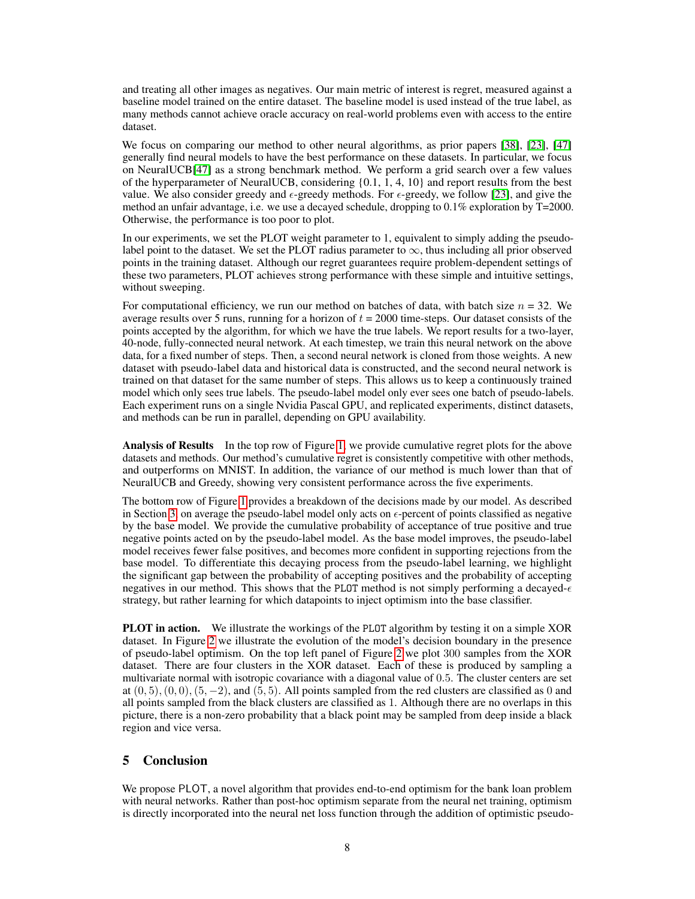and treating all other images as negatives. Our main metric of interest is regret, measured against a baseline model trained on the entire dataset. The baseline model is used instead of the true label, as many methods cannot achieve oracle accuracy on real-world problems even with access to the entire dataset.

We focus on comparing our method to other neural algorithms, as prior papers [\[38\]](#page-11-7), [\[23\]](#page-11-20), [\[47\]](#page-12-3) generally find neural models to have the best performance on these datasets. In particular, we focus on NeuralUCB[\[47\]](#page-12-3) as a strong benchmark method. We perform a grid search over a few values of the hyperparameter of NeuralUCB, considering {0.1, 1, 4, 10} and report results from the best value. We also consider greedy and  $\epsilon$ -greedy methods. For  $\epsilon$ -greedy, we follow [\[23\]](#page-11-20), and give the method an unfair advantage, i.e. we use a decayed schedule, dropping to 0.1% exploration by T=2000. Otherwise, the performance is too poor to plot.

In our experiments, we set the PLOT weight parameter to 1, equivalent to simply adding the pseudolabel point to the dataset. We set the PLOT radius parameter to  $\infty$ , thus including all prior observed points in the training dataset. Although our regret guarantees require problem-dependent settings of these two parameters, PLOT achieves strong performance with these simple and intuitive settings, without sweeping.

For computational efficiency, we run our method on batches of data, with batch size  $n = 32$ . We average results over 5 runs, running for a horizon of  $t = 2000$  time-steps. Our dataset consists of the points accepted by the algorithm, for which we have the true labels. We report results for a two-layer, 40-node, fully-connected neural network. At each timestep, we train this neural network on the above data, for a fixed number of steps. Then, a second neural network is cloned from those weights. A new dataset with pseudo-label data and historical data is constructed, and the second neural network is trained on that dataset for the same number of steps. This allows us to keep a continuously trained model which only sees true labels. The pseudo-label model only ever sees one batch of pseudo-labels. Each experiment runs on a single Nvidia Pascal GPU, and replicated experiments, distinct datasets, and methods can be run in parallel, depending on GPU availability.

Analysis of Results In the top row of Figure [1,](#page-8-0) we provide cumulative regret plots for the above datasets and methods. Our method's cumulative regret is consistently competitive with other methods, and outperforms on MNIST. In addition, the variance of our method is much lower than that of NeuralUCB and Greedy, showing very consistent performance across the five experiments.

The bottom row of Figure [1](#page-8-0) provides a breakdown of the decisions made by our model. As described in Section [3,](#page-3-1) on average the pseudo-label model only acts on  $\epsilon$ -percent of points classified as negative by the base model. We provide the cumulative probability of acceptance of true positive and true negative points acted on by the pseudo-label model. As the base model improves, the pseudo-label model receives fewer false positives, and becomes more confident in supporting rejections from the base model. To differentiate this decaying process from the pseudo-label learning, we highlight the significant gap between the probability of accepting positives and the probability of accepting negatives in our method. This shows that the PLOT method is not simply performing a decayed- $\epsilon$ strategy, but rather learning for which datapoints to inject optimism into the base classifier.

**PLOT in action.** We illustrate the workings of the PLOT algorithm by testing it on a simple XOR dataset. In Figure [2](#page-8-1) we illustrate the evolution of the model's decision boundary in the presence of pseudo-label optimism. On the top left panel of Figure [2](#page-8-1) we plot 300 samples from the XOR dataset. There are four clusters in the XOR dataset. Each of these is produced by sampling a multivariate normal with isotropic covariance with a diagonal value of 0.5. The cluster centers are set at  $(0, 5), (0, 0), (5, -2)$ , and  $(5, 5)$ . All points sampled from the red clusters are classified as 0 and all points sampled from the black clusters are classified as 1. Although there are no overlaps in this picture, there is a non-zero probability that a black point may be sampled from deep inside a black region and vice versa.

# 5 Conclusion

We propose PLOT, a novel algorithm that provides end-to-end optimism for the bank loan problem with neural networks. Rather than post-hoc optimism separate from the neural net training, optimism is directly incorporated into the neural net loss function through the addition of optimistic pseudo-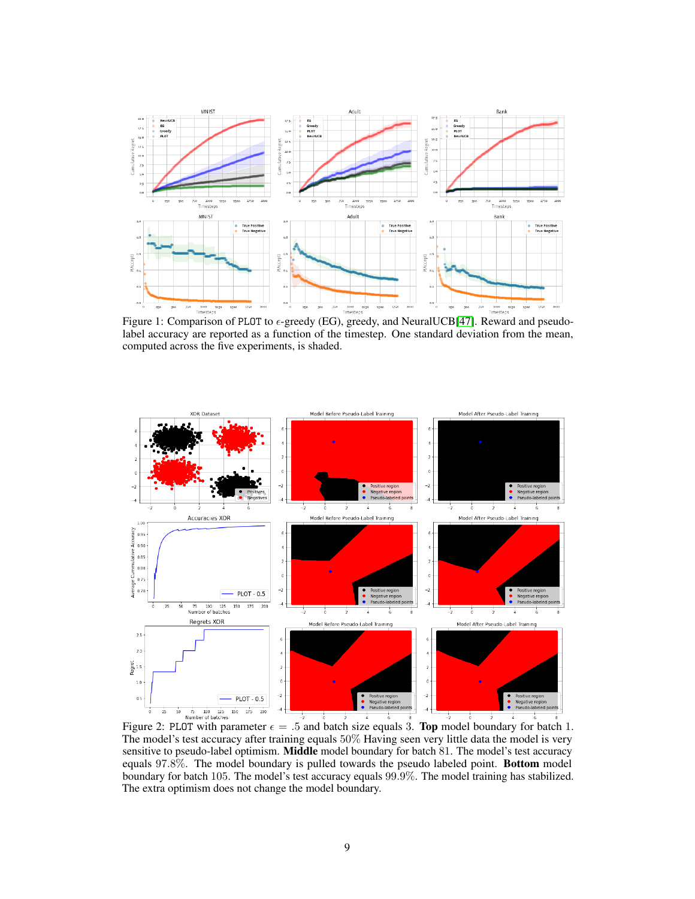<span id="page-8-0"></span>

label accuracy are reported as a function of the timestep. One standard deviation from the mean, computed across the five experiments, is shaded.

<span id="page-8-1"></span>

The model's test accuracy after training equals 50% Having seen very little data the model is very sensitive to pseudo-label optimism. **Middle** model boundary for batch 81. The model's test accuracy equals 97.8%. The model boundary is pulled towards the pseudo labeled point. Bottom model boundary for batch 105. The model's test accuracy equals 99.9%. The model training has stabilized. The extra optimism does not change the model boundary.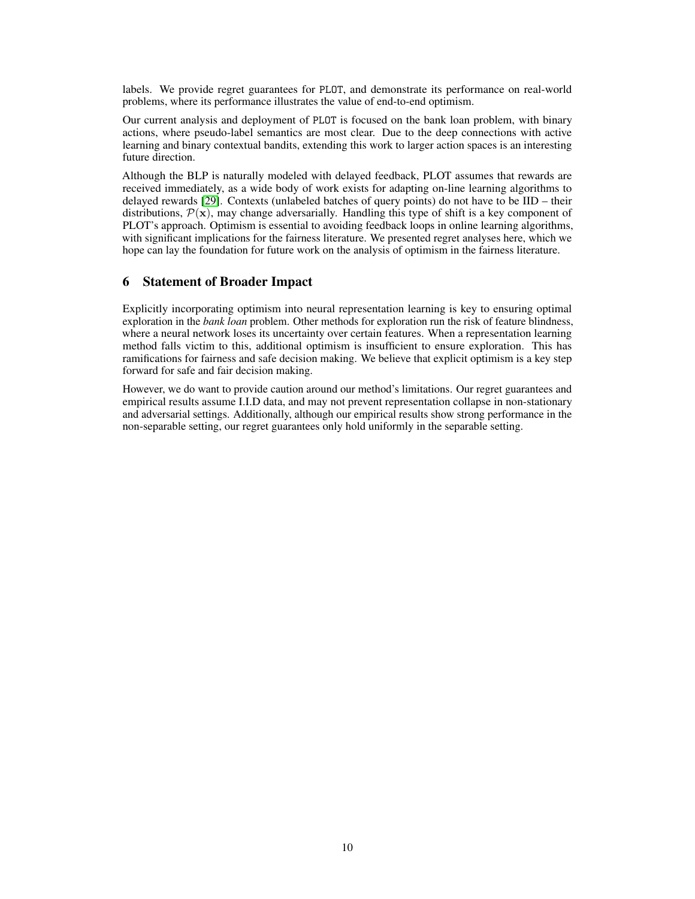labels. We provide regret guarantees for PLOT, and demonstrate its performance on real-world problems, where its performance illustrates the value of end-to-end optimism.

Our current analysis and deployment of PLOT is focused on the bank loan problem, with binary actions, where pseudo-label semantics are most clear. Due to the deep connections with active learning and binary contextual bandits, extending this work to larger action spaces is an interesting future direction.

Although the BLP is naturally modeled with delayed feedback, PLOT assumes that rewards are received immediately, as a wide body of work exists for adapting on-line learning algorithms to delayed rewards [\[29\]](#page-11-13). Contexts (unlabeled batches of query points) do not have to be IID – their distributions,  $\mathcal{P}(\mathbf{x})$ , may change adversarially. Handling this type of shift is a key component of PLOT's approach. Optimism is essential to avoiding feedback loops in online learning algorithms, with significant implications for the fairness literature. We presented regret analyses here, which we hope can lay the foundation for future work on the analysis of optimism in the fairness literature.

#### 6 Statement of Broader Impact

Explicitly incorporating optimism into neural representation learning is key to ensuring optimal exploration in the *bank loan* problem. Other methods for exploration run the risk of feature blindness, where a neural network loses its uncertainty over certain features. When a representation learning method falls victim to this, additional optimism is insufficient to ensure exploration. This has ramifications for fairness and safe decision making. We believe that explicit optimism is a key step forward for safe and fair decision making.

However, we do want to provide caution around our method's limitations. Our regret guarantees and empirical results assume I.I.D data, and may not prevent representation collapse in non-stationary and adversarial settings. Additionally, although our empirical results show strong performance in the non-separable setting, our regret guarantees only hold uniformly in the separable setting.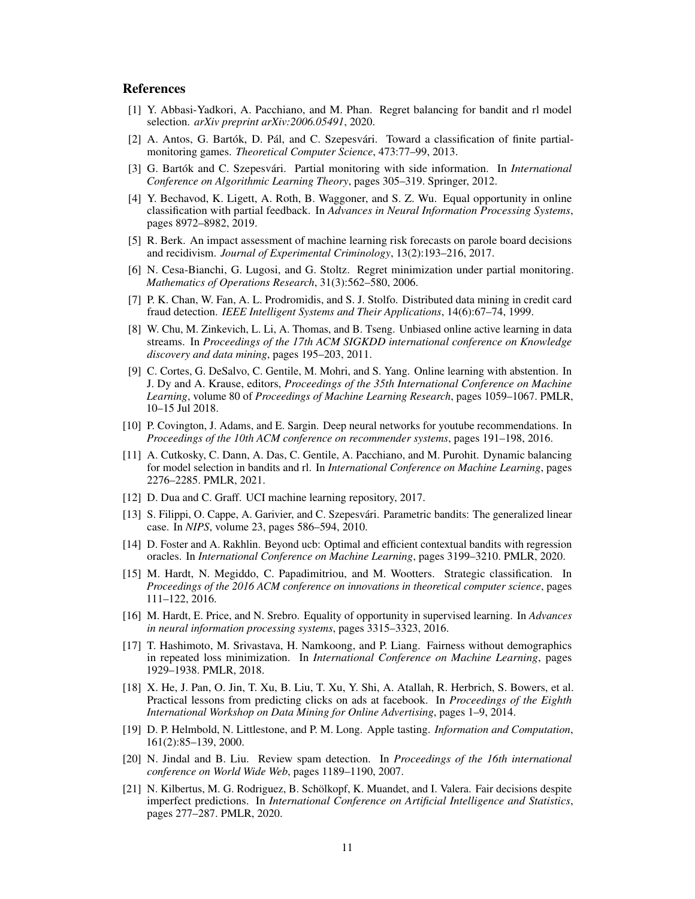#### References

- <span id="page-10-19"></span>[1] Y. Abbasi-Yadkori, A. Pacchiano, and M. Phan. Regret balancing for bandit and rl model selection. *arXiv preprint arXiv:2006.05491*, 2020.
- <span id="page-10-15"></span>[2] A. Antos, G. Bartók, D. Pál, and C. Szepesvári. Toward a classification of finite partialmonitoring games. *Theoretical Computer Science*, 473:77–99, 2013.
- <span id="page-10-16"></span>[3] G. Bartók and C. Szepesvári. Partial monitoring with side information. In *International Conference on Algorithmic Learning Theory*, pages 305–319. Springer, 2012.
- <span id="page-10-12"></span>[4] Y. Bechavod, K. Ligett, A. Roth, B. Waggoner, and S. Z. Wu. Equal opportunity in online classification with partial feedback. In *Advances in Neural Information Processing Systems*, pages 8972–8982, 2019.
- <span id="page-10-0"></span>[5] R. Berk. An impact assessment of machine learning risk forecasts on parole board decisions and recidivism. *Journal of Experimental Criminology*, 13(2):193–216, 2017.
- <span id="page-10-14"></span>[6] N. Cesa-Bianchi, G. Lugosi, and G. Stoltz. Regret minimization under partial monitoring. *Mathematics of Operations Research*, 31(3):562–580, 2006.
- <span id="page-10-1"></span>[7] P. K. Chan, W. Fan, A. L. Prodromidis, and S. J. Stolfo. Distributed data mining in credit card fraud detection. *IEEE Intelligent Systems and Their Applications*, 14(6):67–74, 1999.
- <span id="page-10-6"></span>[8] W. Chu, M. Zinkevich, L. Li, A. Thomas, and B. Tseng. Unbiased online active learning in data streams. In *Proceedings of the 17th ACM SIGKDD international conference on Knowledge discovery and data mining*, pages 195–203, 2011.
- <span id="page-10-8"></span>[9] C. Cortes, G. DeSalvo, C. Gentile, M. Mohri, and S. Yang. Online learning with abstention. In J. Dy and A. Krause, editors, *Proceedings of the 35th International Conference on Machine Learning*, volume 80 of *Proceedings of Machine Learning Research*, pages 1059–1067. PMLR, 10–15 Jul 2018.
- <span id="page-10-3"></span>[10] P. Covington, J. Adams, and E. Sargin. Deep neural networks for youtube recommendations. In *Proceedings of the 10th ACM conference on recommender systems*, pages 191–198, 2016.
- <span id="page-10-18"></span>[11] A. Cutkosky, C. Dann, A. Das, C. Gentile, A. Pacchiano, and M. Purohit. Dynamic balancing for model selection in bandits and rl. In *International Conference on Machine Learning*, pages 2276–2285. PMLR, 2021.
- <span id="page-10-20"></span>[12] D. Dua and C. Graff. UCI machine learning repository, 2017.
- <span id="page-10-5"></span>[13] S. Filippi, O. Cappe, A. Garivier, and C. Szepesvári. Parametric bandits: The generalized linear case. In *NIPS*, volume 23, pages 586–594, 2010.
- <span id="page-10-7"></span>[14] D. Foster and A. Rakhlin. Beyond ucb: Optimal and efficient contextual bandits with regression oracles. In *International Conference on Machine Learning*, pages 3199–3210. PMLR, 2020.
- <span id="page-10-10"></span>[15] M. Hardt, N. Megiddo, C. Papadimitriou, and M. Wootters. Strategic classification. In *Proceedings of the 2016 ACM conference on innovations in theoretical computer science*, pages 111–122, 2016.
- <span id="page-10-13"></span>[16] M. Hardt, E. Price, and N. Srebro. Equality of opportunity in supervised learning. In *Advances in neural information processing systems*, pages 3315–3323, 2016.
- <span id="page-10-9"></span>[17] T. Hashimoto, M. Srivastava, H. Namkoong, and P. Liang. Fairness without demographics in repeated loss minimization. In *International Conference on Machine Learning*, pages 1929–1938. PMLR, 2018.
- <span id="page-10-4"></span>[18] X. He, J. Pan, O. Jin, T. Xu, B. Liu, T. Xu, Y. Shi, A. Atallah, R. Herbrich, S. Bowers, et al. Practical lessons from predicting clicks on ads at facebook. In *Proceedings of the Eighth International Workshop on Data Mining for Online Advertising*, pages 1–9, 2014.
- <span id="page-10-11"></span>[19] D. P. Helmbold, N. Littlestone, and P. M. Long. Apple tasting. *Information and Computation*, 161(2):85–139, 2000.
- <span id="page-10-2"></span>[20] N. Jindal and B. Liu. Review spam detection. In *Proceedings of the 16th international conference on World Wide Web*, pages 1189–1190, 2007.
- <span id="page-10-17"></span>[21] N. Kilbertus, M. G. Rodriguez, B. Schölkopf, K. Muandet, and I. Valera. Fair decisions despite imperfect predictions. In *International Conference on Artificial Intelligence and Statistics*, pages 277–287. PMLR, 2020.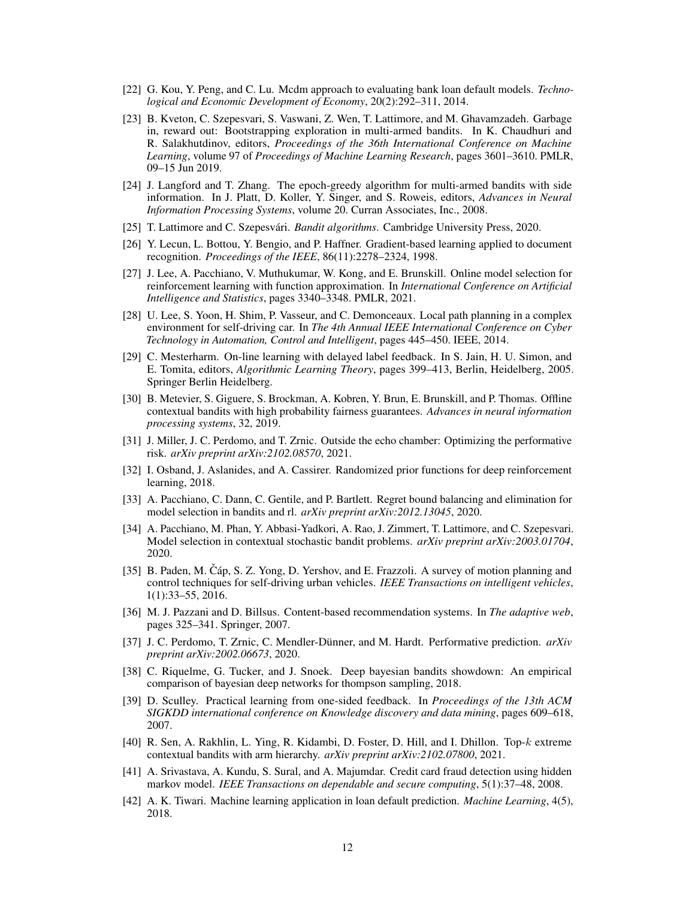- <span id="page-11-0"></span>[22] G. Kou, Y. Peng, and C. Lu. Mcdm approach to evaluating bank loan default models. *Technological and Economic Development of Economy*, 20(2):292–311, 2014.
- <span id="page-11-20"></span>[23] B. Kveton, C. Szepesvari, S. Vaswani, Z. Wen, T. Lattimore, and M. Ghavamzadeh. Garbage in, reward out: Bootstrapping exploration in multi-armed bandits. In K. Chaudhuri and R. Salakhutdinov, editors, *Proceedings of the 36th International Conference on Machine Learning*, volume 97 of *Proceedings of Machine Learning Research*, pages 3601–3610. PMLR, 09–15 Jun 2019.
- <span id="page-11-14"></span>[24] J. Langford and T. Zhang. The epoch-greedy algorithm for multi-armed bandits with side information. In J. Platt, D. Koller, Y. Singer, and S. Roweis, editors, *Advances in Neural Information Processing Systems*, volume 20. Curran Associates, Inc., 2008.
- <span id="page-11-15"></span>[25] T. Lattimore and C. Szepesvári. *Bandit algorithms*. Cambridge University Press, 2020.
- <span id="page-11-19"></span>[26] Y. Lecun, L. Bottou, Y. Bengio, and P. Haffner. Gradient-based learning applied to document recognition. *Proceedings of the IEEE*, 86(11):2278–2324, 1998.
- <span id="page-11-17"></span>[27] J. Lee, A. Pacchiano, V. Muthukumar, W. Kong, and E. Brunskill. Online model selection for reinforcement learning with function approximation. In *International Conference on Artificial Intelligence and Statistics*, pages 3340–3348. PMLR, 2021.
- <span id="page-11-5"></span>[28] U. Lee, S. Yoon, H. Shim, P. Vasseur, and C. Demonceaux. Local path planning in a complex environment for self-driving car. In *The 4th Annual IEEE International Conference on Cyber Technology in Automation, Control and Intelligent*, pages 445–450. IEEE, 2014.
- <span id="page-11-13"></span>[29] C. Mesterharm. On-line learning with delayed label feedback. In S. Jain, H. U. Simon, and E. Tomita, editors, *Algorithmic Learning Theory*, pages 399–413, Berlin, Heidelberg, 2005. Springer Berlin Heidelberg.
- <span id="page-11-9"></span>[30] B. Metevier, S. Giguere, S. Brockman, A. Kobren, Y. Brun, E. Brunskill, and P. Thomas. Offline contextual bandits with high probability fairness guarantees. *Advances in neural information processing systems*, 32, 2019.
- <span id="page-11-12"></span>[31] J. Miller, J. C. Perdomo, and T. Zrnic. Outside the echo chamber: Optimizing the performative risk. *arXiv preprint arXiv:2102.08570*, 2021.
- <span id="page-11-8"></span>[32] I. Osband, J. Aslanides, and A. Cassirer. Randomized prior functions for deep reinforcement learning, 2018.
- <span id="page-11-18"></span>[33] A. Pacchiano, C. Dann, C. Gentile, and P. Bartlett. Regret bound balancing and elimination for model selection in bandits and rl. *arXiv preprint arXiv:2012.13045*, 2020.
- <span id="page-11-16"></span>[34] A. Pacchiano, M. Phan, Y. Abbasi-Yadkori, A. Rao, J. Zimmert, T. Lattimore, and C. Szepesvari. Model selection in contextual stochastic bandit problems. *arXiv preprint arXiv:2003.01704*, 2020.
- <span id="page-11-4"></span>[35] B. Paden, M. Čáp, S. Z. Yong, D. Yershov, and E. Frazzoli. A survey of motion planning and control techniques for self-driving urban vehicles. *IEEE Transactions on intelligent vehicles*, 1(1):33–55, 2016.
- <span id="page-11-6"></span>[36] M. J. Pazzani and D. Billsus. Content-based recommendation systems. In *The adaptive web*, pages 325–341. Springer, 2007.
- <span id="page-11-11"></span>[37] J. C. Perdomo, T. Zrnic, C. Mendler-Dünner, and M. Hardt. Performative prediction. *arXiv preprint arXiv:2002.06673*, 2020.
- <span id="page-11-7"></span>[38] C. Riquelme, G. Tucker, and J. Snoek. Deep bayesian bandits showdown: An empirical comparison of bayesian deep networks for thompson sampling, 2018.
- <span id="page-11-3"></span>[39] D. Sculley. Practical learning from one-sided feedback. In *Proceedings of the 13th ACM SIGKDD international conference on Knowledge discovery and data mining*, pages 609–618, 2007.
- <span id="page-11-10"></span>[40] R. Sen, A. Rakhlin, L. Ying, R. Kidambi, D. Foster, D. Hill, and I. Dhillon. Top-k extreme contextual bandits with arm hierarchy. *arXiv preprint arXiv:2102.07800*, 2021.
- <span id="page-11-2"></span>[41] A. Srivastava, A. Kundu, S. Sural, and A. Majumdar. Credit card fraud detection using hidden markov model. *IEEE Transactions on dependable and secure computing*, 5(1):37–48, 2008.
- <span id="page-11-1"></span>[42] A. K. Tiwari. Machine learning application in loan default prediction. *Machine Learning*, 4(5), 2018.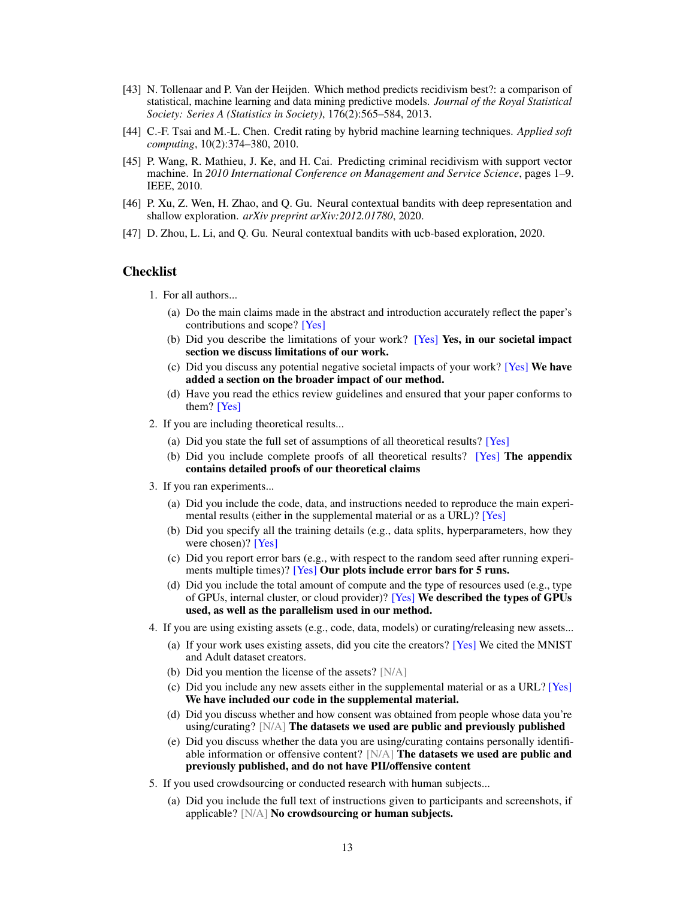- <span id="page-12-1"></span>[43] N. Tollenaar and P. Van der Heijden. Which method predicts recidivism best?: a comparison of statistical, machine learning and data mining predictive models. *Journal of the Royal Statistical Society: Series A (Statistics in Society)*, 176(2):565–584, 2013.
- <span id="page-12-0"></span>[44] C.-F. Tsai and M.-L. Chen. Credit rating by hybrid machine learning techniques. *Applied soft computing*, 10(2):374–380, 2010.
- <span id="page-12-2"></span>[45] P. Wang, R. Mathieu, J. Ke, and H. Cai. Predicting criminal recidivism with support vector machine. In *2010 International Conference on Management and Service Science*, pages 1–9. IEEE, 2010.
- <span id="page-12-4"></span>[46] P. Xu, Z. Wen, H. Zhao, and Q. Gu. Neural contextual bandits with deep representation and shallow exploration. *arXiv preprint arXiv:2012.01780*, 2020.
- <span id="page-12-3"></span>[47] D. Zhou, L. Li, and Q. Gu. Neural contextual bandits with ucb-based exploration, 2020.

## **Checklist**

- 1. For all authors...
	- (a) Do the main claims made in the abstract and introduction accurately reflect the paper's contributions and scope? [Yes]
	- (b) Did you describe the limitations of your work? [Yes] Yes, in our societal impact section we discuss limitations of our work.
	- (c) Did you discuss any potential negative societal impacts of your work? [Yes] We have added a section on the broader impact of our method.
	- (d) Have you read the ethics review guidelines and ensured that your paper conforms to them? [Yes]
- 2. If you are including theoretical results...
	- (a) Did you state the full set of assumptions of all theoretical results? [Yes]
	- (b) Did you include complete proofs of all theoretical results? [Yes] The appendix contains detailed proofs of our theoretical claims
- 3. If you ran experiments...
	- (a) Did you include the code, data, and instructions needed to reproduce the main experimental results (either in the supplemental material or as a URL)? [Yes]
	- (b) Did you specify all the training details (e.g., data splits, hyperparameters, how they were chosen)? [Yes]
	- (c) Did you report error bars (e.g., with respect to the random seed after running experiments multiple times)? [Yes] Our plots include error bars for 5 runs.
	- (d) Did you include the total amount of compute and the type of resources used (e.g., type of GPUs, internal cluster, or cloud provider)? [Yes] We described the types of GPUs used, as well as the parallelism used in our method.
- 4. If you are using existing assets (e.g., code, data, models) or curating/releasing new assets...
	- (a) If your work uses existing assets, did you cite the creators? [Yes] We cited the MNIST and Adult dataset creators.
	- (b) Did you mention the license of the assets? [N/A]
	- (c) Did you include any new assets either in the supplemental material or as a URL? [Yes] We have included our code in the supplemental material.
	- (d) Did you discuss whether and how consent was obtained from people whose data you're using/curating? [N/A] The datasets we used are public and previously published
	- (e) Did you discuss whether the data you are using/curating contains personally identifiable information or offensive content? [N/A] The datasets we used are public and previously published, and do not have PII/offensive content
- 5. If you used crowdsourcing or conducted research with human subjects...
	- (a) Did you include the full text of instructions given to participants and screenshots, if applicable? [N/A] No crowdsourcing or human subjects.